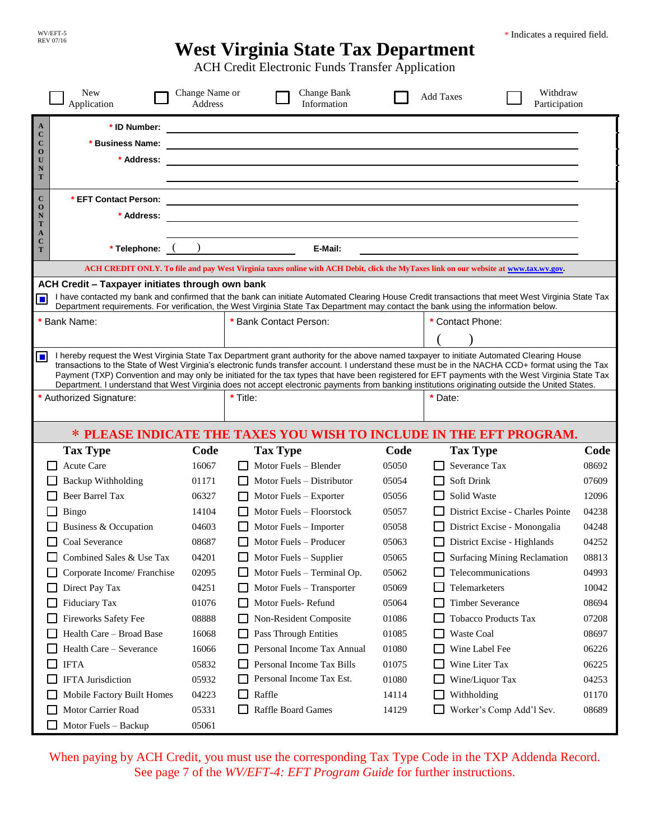## \* Indicates a required field.

# **West Virginia State Tax Department**

ACH Credit Electronic Funds Transfer Application

| $\mathbf{A}$<br>* ID Number:<br><u> 1989 - Johann Stein, Amerikaansk politiker (* 1958)</u><br>$\mathbf{C}$                                                                                                                                                                                                                                                                                                                                                                                                                                                                                                      |                |  |
|------------------------------------------------------------------------------------------------------------------------------------------------------------------------------------------------------------------------------------------------------------------------------------------------------------------------------------------------------------------------------------------------------------------------------------------------------------------------------------------------------------------------------------------------------------------------------------------------------------------|----------------|--|
| $\bf C$<br>* Business Name:<br>$\mathbf 0$<br>* Address:<br>U<br>N<br>T                                                                                                                                                                                                                                                                                                                                                                                                                                                                                                                                          |                |  |
| $\mathbf{C}$<br>* EFT Contact Person:<br>and the control of the control of the control of the control of the control of the control of the control of the<br>$\mathbf 0$<br>* Address:<br>$\mathbf N$<br>T<br>$\mathbf{A}$<br>$\mathbf C$<br>E-Mail:<br>* Telephone:<br>T                                                                                                                                                                                                                                                                                                                                        |                |  |
| ACH CREDIT ONLY. To file and pay West Virginia taxes online with ACH Debit, click the MyTaxes link on our website at www.tax.wv.gov.                                                                                                                                                                                                                                                                                                                                                                                                                                                                             |                |  |
| ACH Credit - Taxpayer initiates through own bank                                                                                                                                                                                                                                                                                                                                                                                                                                                                                                                                                                 |                |  |
| I have contacted my bank and confirmed that the bank can initiate Automated Clearing House Credit transactions that meet West Virginia State Tax<br>П<br>Department requirements. For verification, the West Virginia State Tax Department may contact the bank using the information below.                                                                                                                                                                                                                                                                                                                     |                |  |
| * Bank Name:<br>* Bank Contact Person:<br>* Contact Phone:                                                                                                                                                                                                                                                                                                                                                                                                                                                                                                                                                       |                |  |
|                                                                                                                                                                                                                                                                                                                                                                                                                                                                                                                                                                                                                  |                |  |
| I hereby request the West Virginia State Tax Department grant authority for the above named taxpayer to initiate Automated Clearing House<br>$\Box$<br>transactions to the State of West Virginia's electronic funds transfer account. I understand these must be in the NACHA CCD+ format using the Tax<br>Payment (TXP) Convention and may only be initiated for the tax types that have been registered for EFT payments with the West Virginia State Tax<br>Department. I understand that West Virginia does not accept electronic payments from banking institutions originating outside the United States. |                |  |
| * Title:<br>* Authorized Signature:<br>* Date:                                                                                                                                                                                                                                                                                                                                                                                                                                                                                                                                                                   |                |  |
| * PLEASE INDICATE THE TAXES YOU WISH TO INCLUDE IN THE EFT PROGRAM.                                                                                                                                                                                                                                                                                                                                                                                                                                                                                                                                              |                |  |
| <b>Tax Type</b><br>Code<br><b>Tax Type</b><br>Code<br><b>Tax Type</b>                                                                                                                                                                                                                                                                                                                                                                                                                                                                                                                                            | Code           |  |
| Severance Tax<br>Acute Care<br>Motor Fuels - Blender<br>05050<br>16067                                                                                                                                                                                                                                                                                                                                                                                                                                                                                                                                           | 08692          |  |
| <b>Backup Withholding</b><br>05054<br><b>Soft Drink</b><br>01171<br>Motor Fuels – Distributor                                                                                                                                                                                                                                                                                                                                                                                                                                                                                                                    | 07609          |  |
| <b>Beer Barrel Tax</b><br>Solid Waste<br>05056<br>06327<br>Motor Fuels - Exporter                                                                                                                                                                                                                                                                                                                                                                                                                                                                                                                                | 12096          |  |
| Motor Fuels - Floorstock<br>District Excise - Charles Pointe<br>Bingo<br>14104<br>05057                                                                                                                                                                                                                                                                                                                                                                                                                                                                                                                          | 04238          |  |
| Business & Occupation<br>04603<br>Motor Fuels – Importer<br>05058<br>District Excise - Monongalia                                                                                                                                                                                                                                                                                                                                                                                                                                                                                                                | 04248          |  |
| Coal Severance<br>08687<br>Motor Fuels - Producer<br>05063<br>District Excise - Highlands                                                                                                                                                                                                                                                                                                                                                                                                                                                                                                                        | 04252          |  |
| Surfacing Mining Reclamation<br>$\Box$ Motor Fuels – Supplier<br>Combined Sales & Use Tax<br>04201<br>05065                                                                                                                                                                                                                                                                                                                                                                                                                                                                                                      | 08813          |  |
| 05062<br>Telecommunications<br>02095<br>Motor Fuels - Terminal Op.<br>Corporate Income/ Franchise                                                                                                                                                                                                                                                                                                                                                                                                                                                                                                                | 04993          |  |
| Telemarketers<br>04251<br>Motor Fuels - Transporter<br>05069<br>Direct Pay Tax<br>ப                                                                                                                                                                                                                                                                                                                                                                                                                                                                                                                              | 10042          |  |
| Motor Fuels-Refund<br><b>Timber Severance</b><br>Fiduciary Tax<br>01076<br>05064                                                                                                                                                                                                                                                                                                                                                                                                                                                                                                                                 | 08694          |  |
| Fireworks Safety Fee<br>01086<br><b>Tobacco Products Tax</b><br>08888<br>Non-Resident Composite                                                                                                                                                                                                                                                                                                                                                                                                                                                                                                                  | 07208          |  |
| Health Care - Broad Base<br>Pass Through Entities<br>Waste Coal<br>16068<br>01085                                                                                                                                                                                                                                                                                                                                                                                                                                                                                                                                | 08697          |  |
| Personal Income Tax Annual<br>Wine Label Fee<br>Health Care - Severance<br>01080<br>16066                                                                                                                                                                                                                                                                                                                                                                                                                                                                                                                        | 06226          |  |
| Personal Income Tax Bills<br>Wine Liter Tax<br><b>IFTA</b><br>05832<br>01075<br>Personal Income Tax Est.<br><b>IFTA</b> Jurisdiction<br>01080                                                                                                                                                                                                                                                                                                                                                                                                                                                                    | 06225          |  |
| Wine/Liquor Tax<br>05932<br>Mobile Factory Built Homes<br>Raffle<br>04223<br>14114<br>Withholding<br>$\Box$                                                                                                                                                                                                                                                                                                                                                                                                                                                                                                      | 04253<br>01170 |  |
| Motor Carrier Road<br>05331<br>Raffle Board Games<br>Worker's Comp Add'l Sev.<br>14129                                                                                                                                                                                                                                                                                                                                                                                                                                                                                                                           | 08689          |  |
|                                                                                                                                                                                                                                                                                                                                                                                                                                                                                                                                                                                                                  |                |  |

When paying by ACH Credit, you must use the corresponding Tax Type Code in the TXP Addenda Record. See page 7 of the *WV/EFT-4: EFT Program Guide* for further instructions.